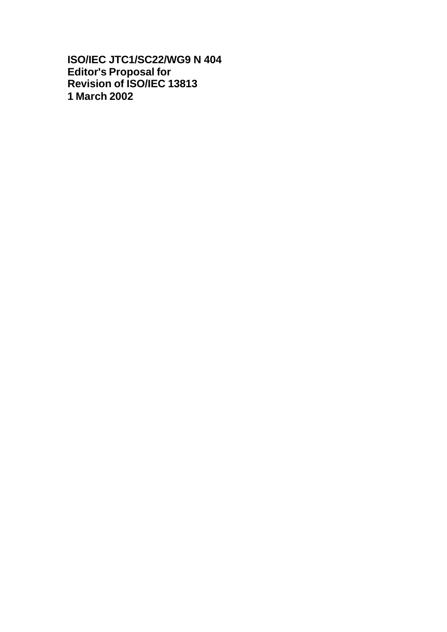**ISO/IEC JTC1/SC22/WG9 N 404 Editor's Proposal for Revision of ISO/IEC 13813 1 March 2002**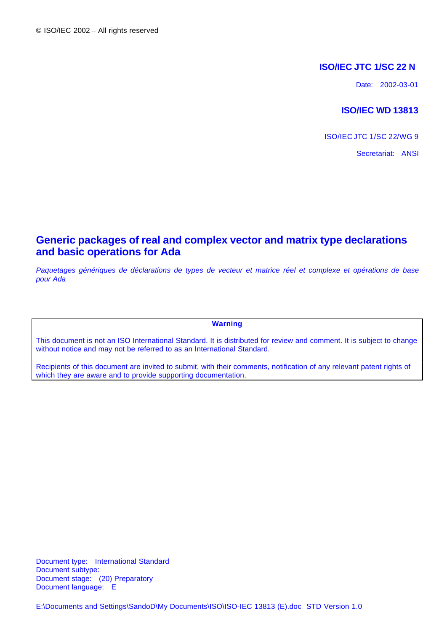# **ISO/IEC JTC 1/SC 22 N**

Date: 2002-03-01

## **ISO/IEC WD 13813**

ISO/IEC JTC 1/SC 22/WG 9

Secretariat: ANSI

# **Generic packages of real and complex vector and matrix type declarations and basic operations for Ada**

*Paquetages génériques de déclarations de types de vecteur et matrice réel et complexe et opérations de base pour Ada*

**Warning**

This document is not an ISO International Standard. It is distributed for review and comment. It is subject to change without notice and may not be referred to as an International Standard.

Recipients of this document are invited to submit, with their comments, notification of any relevant patent rights of which they are aware and to provide supporting documentation.

Document type: International Standard Document subtype: Document stage: (20) Preparatory Document language: E

E:\Documents and Settings\SandoD\My Documents\ISO\ISO-IEC 13813 (E).doc STD Version 1.0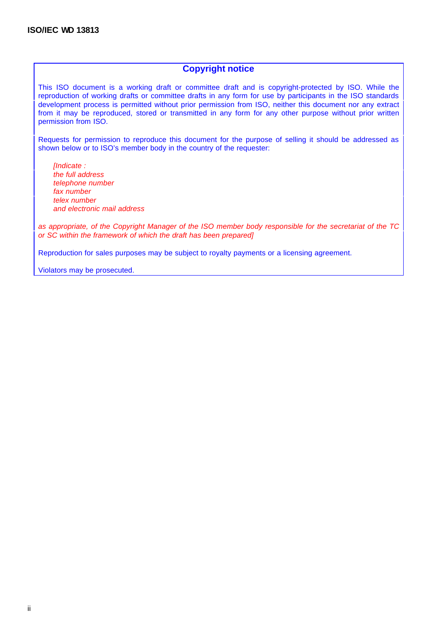## **Copyright notice**

This ISO document is a working draft or committee draft and is copyright-protected by ISO. While the reproduction of working drafts or committee drafts in any form for use by participants in the ISO standards development process is permitted without prior permission from ISO, neither this document nor any extract from it may be reproduced, stored or transmitted in any form for any other purpose without prior written permission from ISO.

Requests for permission to reproduce this document for the purpose of selling it should be addressed as shown below or to ISO's member body in the country of the requester:

*[Indicate : the full address telephone number fax number telex number and electronic mail address*

*as appropriate, of the Copyright Manager of the ISO member body responsible for the secretariat of the TC or SC within the framework of which the draft has been prepared]*

Reproduction for sales purposes may be subject to royalty payments or a licensing agreement.

Violators may be prosecuted.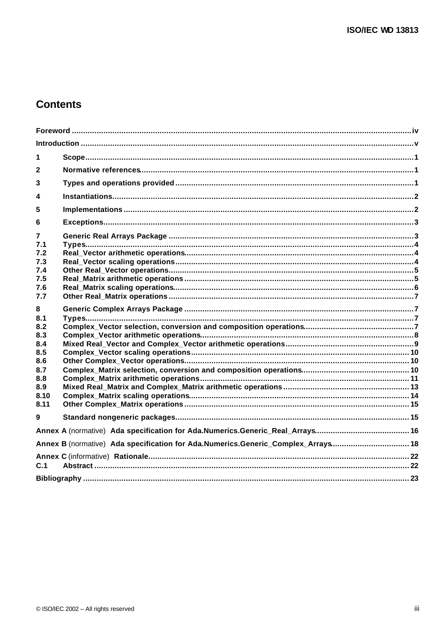# **Contents**

| 1                                                                                |                                                                                  |  |  |  |  |  |  |
|----------------------------------------------------------------------------------|----------------------------------------------------------------------------------|--|--|--|--|--|--|
| $\mathbf{2}$                                                                     |                                                                                  |  |  |  |  |  |  |
| 3                                                                                |                                                                                  |  |  |  |  |  |  |
| 4                                                                                |                                                                                  |  |  |  |  |  |  |
| 5                                                                                |                                                                                  |  |  |  |  |  |  |
| 6                                                                                |                                                                                  |  |  |  |  |  |  |
| 7<br>7.1<br>7.2                                                                  |                                                                                  |  |  |  |  |  |  |
| 7.3<br>7.4<br>7.5<br>7.6<br>7.7                                                  |                                                                                  |  |  |  |  |  |  |
| 8<br>8.1<br>8.2<br>8.3<br>8.4<br>8.5<br>8.6<br>8.7<br>8.8<br>8.9<br>8.10<br>8.11 |                                                                                  |  |  |  |  |  |  |
| $\boldsymbol{9}$                                                                 |                                                                                  |  |  |  |  |  |  |
|                                                                                  |                                                                                  |  |  |  |  |  |  |
|                                                                                  | Annex B (normative) Ada specification for Ada.Numerics.Generic_Complex_Arrays 18 |  |  |  |  |  |  |
| C.1                                                                              |                                                                                  |  |  |  |  |  |  |
|                                                                                  |                                                                                  |  |  |  |  |  |  |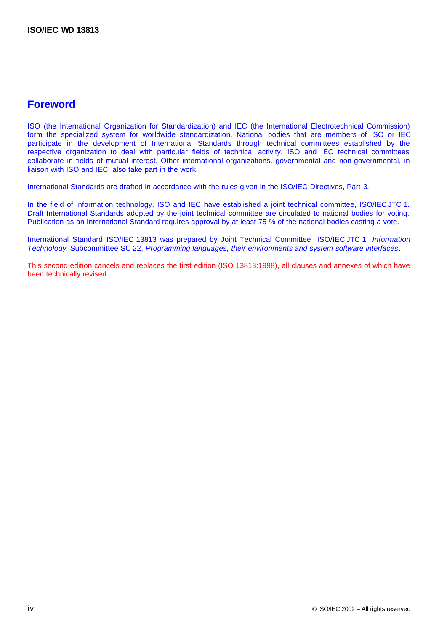# **Foreword**

ISO (the International Organization for Standardization) and IEC (the International Electrotechnical Commission) form the specialized system for worldwide standardization. National bodies that are members of ISO or IEC participate in the development of International Standards through technical committees established by the respective organization to deal with particular fields of technical activity. ISO and IEC technical committees collaborate in fields of mutual interest. Other international organizations, governmental and non-governmental, in liaison with ISO and IEC, also take part in the work.

International Standards are drafted in accordance with the rules given in the ISO/IEC Directives, Part 3.

In the field of information technology, ISO and IEC have established a joint technical committee, ISO/IEC JTC 1. Draft International Standards adopted by the joint technical committee are circulated to national bodies for voting. Publication as an International Standard requires approval by at least 75 % of the national bodies casting a vote.

International Standard ISO/IEC 13813 was prepared by Joint Technical Committee ISO/IEC JTC 1, *Information Technology*, Subcommittee SC 22, *Programming languages, their environments and system software interfaces*.

This second edition cancels and replaces the first edition (ISO 13813:1998), all clauses and annexes of which have been technically revised.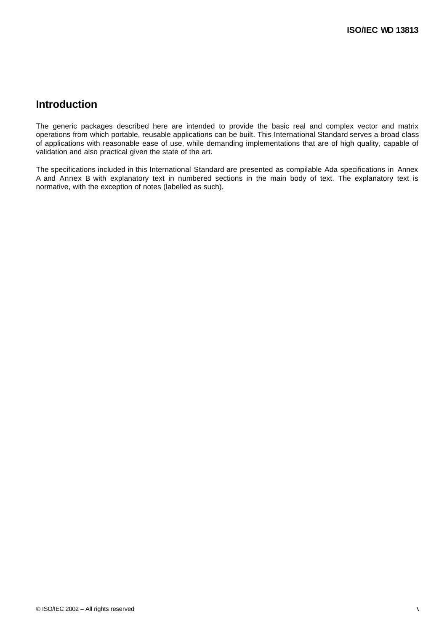# **Introduction**

The generic packages described here are intended to provide the basic real and complex vector and matrix operations from which portable, reusable applications can be built. This International Standard serves a broad class of applications with reasonable ease of use, while demanding implementations that are of high quality, capable of validation and also practical given the state of the art.

The specifications included in this International Standard are presented as compilable Ada specifications in Annex A and Annex B with explanatory text in numbered sections in the main body of text. The explanatory text is normative, with the exception of notes (labelled as such).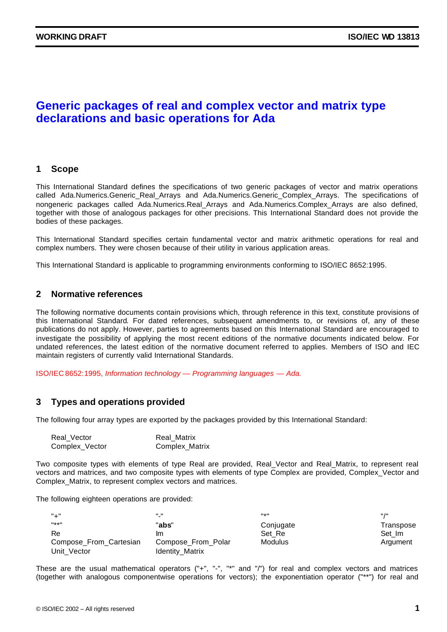# **Generic packages of real and complex vector and matrix type declarations and basic operations for Ada**

### **1 Scope**

This International Standard defines the specifications of two generic packages of vector and matrix operations called Ada.Numerics.Generic Real Arrays and Ada.Numerics.Generic Complex Arrays. The specifications of nongeneric packages called Ada.Numerics.Real\_Arrays and Ada.Numerics.Complex\_Arrays are also defined, together with those of analogous packages for other precisions. This International Standard does not provide the bodies of these packages.

This International Standard specifies certain fundamental vector and matrix arithmetic operations for real and complex numbers. They were chosen because of their utility in various application areas.

This International Standard is applicable to programming environments conforming to ISO/IEC 8652:1995.

### **2 Normative references**

The following normative documents contain provisions which, through reference in this text, constitute provisions of this International Standard. For dated references, subsequent amendments to, or revisions of, any of these publications do not apply. However, parties to agreements based on this International Standard are encouraged to investigate the possibility of applying the most recent editions of the normative documents indicated below. For undated references, the latest edition of the normative document referred to applies. Members of ISO and IEC maintain registers of currently valid International Standards.

ISO/IEC 8652:1995, *Information technology — Programming languages — Ada.*

### **3 Types and operations provided**

The following four array types are exported by the packages provided by this International Standard:

| Real Vector    | <b>Real Matrix</b> |
|----------------|--------------------|
| Complex_Vector | Complex_Matrix     |

Two composite types with elements of type Real are provided, Real\_Vector and Real\_Matrix, to represent real vectors and matrices, and two composite types with elements of type Complex are provided, Complex\_Vector and Complex\_Matrix, to represent complex vectors and matrices.

The following eighteen operations are provided:

| "⊥"                    | " "<br>$\blacksquare$ | $11 * 11$      | <b>H</b> /H |
|------------------------|-----------------------|----------------|-------------|
| $H*H$                  | "abs"                 | Conjugate      | Transpose   |
| Re                     | ım                    | Set Re         | Set Im      |
| Compose_From_Cartesian | Compose_From_Polar    | <b>Modulus</b> | Argument    |
| Unit Vector            | Identity_Matrix       |                |             |

These are the usual mathematical operators ("+", "-", "\*" and "/") for real and complex vectors and matrices (together with analogous componentwise operations for vectors); the exponentiation operator ("\*\*") for real and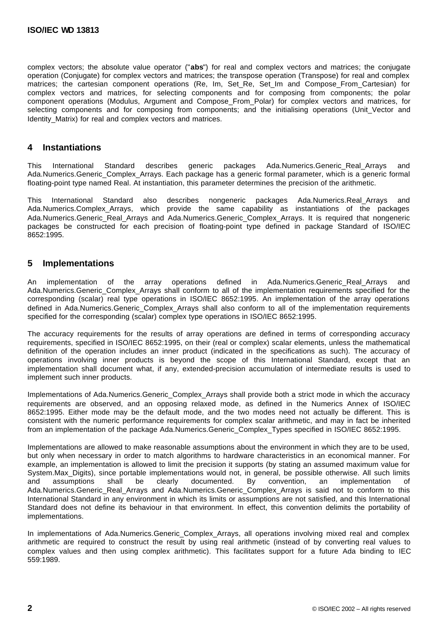complex vectors; the absolute value operator ("**abs**") for real and complex vectors and matrices; the conjugate operation (Conjugate) for complex vectors and matrices; the transpose operation (Transpose) for real and complex matrices; the cartesian component operations (Re, Im, Set\_Re, Set\_Im and Compose\_From\_Cartesian) for complex vectors and matrices, for selecting components and for composing from components; the polar component operations (Modulus, Argument and Compose\_From\_Polar) for complex vectors and matrices, for selecting components and for composing from components; and the initialising operations (Unit\_Vector and Identity Matrix) for real and complex vectors and matrices.

### **4 Instantiations**

This International Standard describes generic packages Ada.Numerics.Generic\_Real\_Arrays and Ada.Numerics.Generic\_Complex\_Arrays. Each package has a generic formal parameter, which is a generic formal floating-point type named Real. At instantiation, this parameter determines the precision of the arithmetic.

This International Standard also describes nongeneric packages Ada.Numerics.Real\_Arrays and Ada.Numerics.Complex\_Arrays, which provide the same capability as instantiations of the packages Ada.Numerics.Generic\_Real\_Arrays and Ada.Numerics.Generic\_Complex\_Arrays. It is required that nongeneric packages be constructed for each precision of floating-point type defined in package Standard of ISO/IEC 8652:1995.

### **5 Implementations**

An implementation of the array operations defined in Ada.Numerics.Generic\_Real\_Arrays and Ada.Numerics.Generic Complex Arrays shall conform to all of the implementation requirements specified for the corresponding (scalar) real type operations in ISO/IEC 8652:1995. An implementation of the array operations defined in Ada.Numerics.Generic\_Complex\_Arrays shall also conform to all of the implementation requirements specified for the corresponding (scalar) complex type operations in ISO/IEC 8652:1995.

The accuracy requirements for the results of array operations are defined in terms of corresponding accuracy requirements, specified in ISO/IEC 8652:1995, on their (real or complex) scalar elements, unless the mathematical definition of the operation includes an inner product (indicated in the specifications as such). The accuracy of operations involving inner products is beyond the scope of this International Standard, except that an implementation shall document what, if any, extended-precision accumulation of intermediate results is used to implement such inner products.

Implementations of Ada.Numerics.Generic\_Complex\_Arrays shall provide both a strict mode in which the accuracy requirements are observed, and an opposing relaxed mode, as defined in the Numerics Annex of ISO/IEC 8652:1995. Either mode may be the default mode, and the two modes need not actually be different. This is consistent with the numeric performance requirements for complex scalar arithmetic, and may in fact be inherited from an implementation of the package Ada.Numerics.Generic\_Complex\_Types specified in ISO/IEC 8652:1995.

Implementations are allowed to make reasonable assumptions about the environment in which they are to be used, but only when necessary in order to match algorithms to hardware characteristics in an economical manner. For example, an implementation is allowed to limit the precision it supports (by stating an assumed maximum value for System.Max Digits), since portable implementations would not, in general, be possible otherwise. All such limits and assumptions shall be clearly documented. By convention, an implementation of Ada.Numerics.Generic Real Arrays and Ada.Numerics.Generic Complex Arrays is said not to conform to this International Standard in any environment in which its limits or assumptions are not satisfied, and this International Standard does not define its behaviour in that environment. In effect, this convention delimits the portability of implementations.

In implementations of Ada.Numerics.Generic\_Complex\_Arrays, all operations involving mixed real and complex arithmetic are required to construct the result by using real arithmetic (instead of by converting real values to complex values and then using complex arithmetic). This facilitates support for a future Ada binding to IEC 559:1989.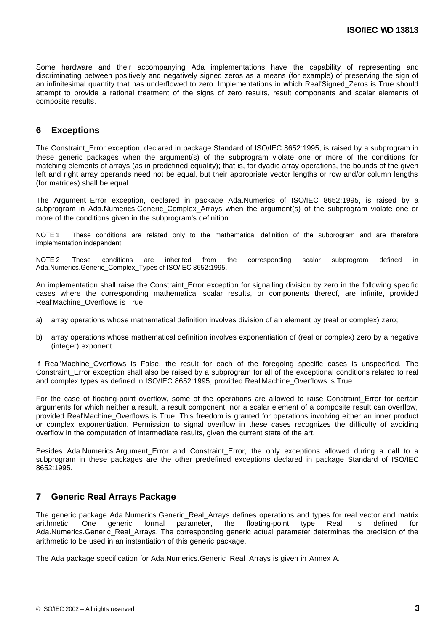Some hardware and their accompanying Ada implementations have the capability of representing and discriminating between positively and negatively signed zeros as a means (for example) of preserving the sign of an infinitesimal quantity that has underflowed to zero. Implementations in which Real'Signed\_Zeros is True should attempt to provide a rational treatment of the signs of zero results, result components and scalar elements of composite results.

## **6 Exceptions**

The Constraint\_Error exception, declared in package Standard of ISO/IEC 8652:1995, is raised by a subprogram in these generic packages when the argument(s) of the subprogram violate one or more of the conditions for matching elements of arrays (as in predefined equality); that is, for dyadic array operations, the bounds of the given left and right array operands need not be equal, but their appropriate vector lengths or row and/or column lengths (for matrices) shall be equal.

The Argument\_Error exception, declared in package Ada.Numerics of ISO/IEC 8652:1995, is raised by a subprogram in Ada.Numerics.Generic\_Complex\_Arrays when the argument(s) of the subprogram violate one or more of the conditions given in the subprogram's definition.

NOTE 1 These conditions are related only to the mathematical definition of the subprogram and are therefore implementation independent.

NOTE 2 These conditions are inherited from the corresponding scalar subprogram defined in Ada.Numerics.Generic\_Complex\_Types of ISO/IEC 8652:1995.

An implementation shall raise the Constraint Error exception for signalling division by zero in the following specific cases where the corresponding mathematical scalar results, or components thereof, are infinite, provided Real'Machine\_Overflows is True:

- a) array operations whose mathematical definition involves division of an element by (real or complex) zero;
- b) array operations whose mathematical definition involves exponentiation of (real or complex) zero by a negative (integer) exponent.

If Real'Machine\_Overflows is False, the result for each of the foregoing specific cases is unspecified. The Constraint\_Error exception shall also be raised by a subprogram for all of the exceptional conditions related to real and complex types as defined in ISO/IEC 8652:1995, provided Real'Machine\_Overflows is True.

For the case of floating-point overflow, some of the operations are allowed to raise Constraint Error for certain arguments for which neither a result, a result component, nor a scalar element of a composite result can overflow, provided Real'Machine\_Overflows is True. This freedom is granted for operations involving either an inner product or complex exponentiation. Permission to signal overflow in these cases recognizes the difficulty of avoiding overflow in the computation of intermediate results, given the current state of the art.

Besides Ada.Numerics.Argument Error and Constraint Error, the only exceptions allowed during a call to a subprogram in these packages are the other predefined exceptions declared in package Standard of ISO/IEC 8652:1995.

# **7 Generic Real Arrays Package**

The generic package Ada.Numerics.Generic Real Arrays defines operations and types for real vector and matrix arithmetic. One generic formal parameter, the floating-point type Real, is defined for Ada.Numerics.Generic\_Real\_Arrays. The corresponding generic actual parameter determines the precision of the arithmetic to be used in an instantiation of this generic package.

The Ada package specification for Ada.Numerics.Generic\_Real\_Arrays is given in Annex A.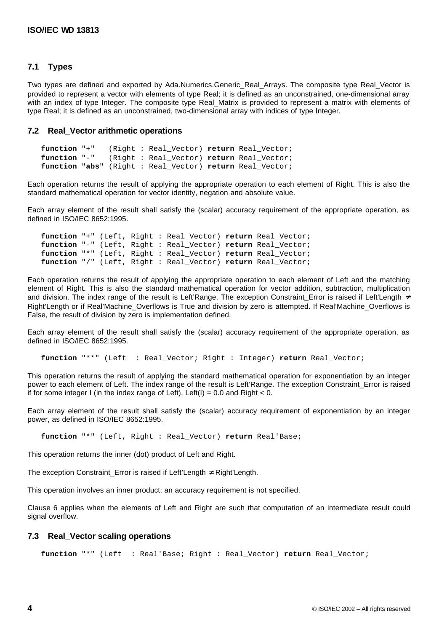### **7.1 Types**

Two types are defined and exported by Ada.Numerics.Generic\_Real\_Arrays. The composite type Real\_Vector is provided to represent a vector with elements of type Real; it is defined as an unconstrained, one-dimensional array with an index of type Integer. The composite type Real\_Matrix is provided to represent a matrix with elements of type Real; it is defined as an unconstrained, two-dimensional array with indices of type Integer.

#### **7.2 Real\_Vector arithmetic operations**

```
function "+" (Right : Real_Vector) return Real_Vector;
function "-" (Right : Real_Vector) return Real_Vector;
function "abs" (Right : Real_Vector) return Real_Vector;
```
Each operation returns the result of applying the appropriate operation to each element of Right. This is also the standard mathematical operation for vector identity, negation and absolute value.

Each array element of the result shall satisfy the (scalar) accuracy requirement of the appropriate operation, as defined in ISO/IEC 8652:1995.

```
function "+" (Left, Right : Real_Vector) return Real_Vector;
function "-" (Left, Right : Real_Vector) return Real_Vector;
function "*" (Left, Right : Real_Vector) return Real_Vector;
function "/" (Left, Right : Real_Vector) return Real_Vector;
```
Each operation returns the result of applying the appropriate operation to each element of Left and the matching element of Right. This is also the standard mathematical operation for vector addition, subtraction, multiplication and division. The index range of the result is Left'Range. The exception Constraint\_Error is raised if Left'Length ≠ Right'Length or if Real'Machine\_Overflows is True and division by zero is attempted. If Real'Machine\_Overflows is False, the result of division by zero is implementation defined.

Each array element of the result shall satisfy the (scalar) accuracy requirement of the appropriate operation, as defined in ISO/IEC 8652:1995.

**function** "\*\*" (Left : Real\_Vector; Right : Integer) **return** Real\_Vector;

This operation returns the result of applying the standard mathematical operation for exponentiation by an integer power to each element of Left. The index range of the result is Left'Range. The exception Constraint\_Error is raised if for some integer I (in the index range of Left), Left(I) = 0.0 and Right < 0.

Each array element of the result shall satisfy the (scalar) accuracy requirement of exponentiation by an integer power, as defined in ISO/IEC 8652:1995.

**function** "\*" (Left, Right : Real\_Vector) **return** Real'Base;

This operation returns the inner (dot) product of Left and Right.

The exception Constraint Error is raised if Left'Length  $\neq$  Right'Length.

This operation involves an inner product; an accuracy requirement is not specified.

Clause 6 applies when the elements of Left and Right are such that computation of an intermediate result could signal overflow.

#### **7.3 Real\_Vector scaling operations**

**function** "\*" (Left : Real'Base; Right : Real\_Vector) **return** Real\_Vector;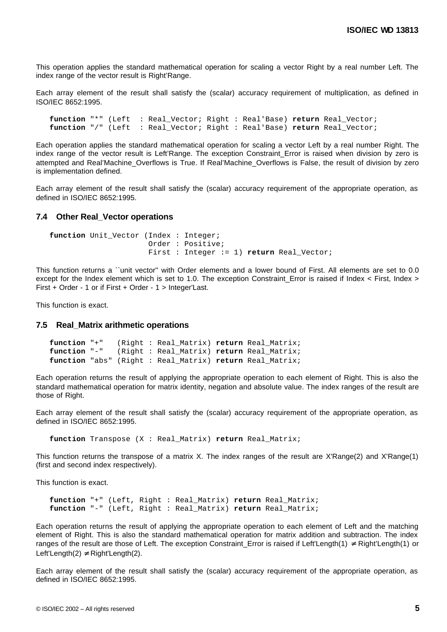This operation applies the standard mathematical operation for scaling a vector Right by a real number Left. The index range of the vector result is Right'Range.

Each array element of the result shall satisfy the (scalar) accuracy requirement of multiplication, as defined in ISO/IEC 8652:1995.

**function** "\*" (Left : Real\_Vector; Right : Real'Base) **return** Real\_Vector; **function** "/" (Left : Real\_Vector; Right : Real'Base) **return** Real\_Vector;

Each operation applies the standard mathematical operation for scaling a vector Left by a real number Right. The index range of the vector result is Left'Range. The exception Constraint\_Error is raised when division by zero is attempted and Real'Machine\_Overflows is True. If Real'Machine\_Overflows is False, the result of division by zero is implementation defined.

Each array element of the result shall satisfy the (scalar) accuracy requirement of the appropriate operation, as defined in ISO/IEC 8652:1995.

#### **7.4 Other Real\_Vector operations**

function Unit Vector (Index : Integer; Order : Positive; First : Integer := 1) **return** Real\_Vector;

This function returns a ``unit vector'' with Order elements and a lower bound of First. All elements are set to 0.0 except for the Index element which is set to 1.0. The exception Constraint\_Error is raised if Index < First, Index > First + Order - 1 or if First + Order - 1 > Integer'Last.

This function is exact.

#### **7.5 Real\_Matrix arithmetic operations**

```
function "+" (Right : Real_Matrix) return Real_Matrix;
function "-" (Right : Real_Matrix) return Real_Matrix;
function "abs" (Right : Real_Matrix) return Real_Matrix;
```
Each operation returns the result of applying the appropriate operation to each element of Right. This is also the standard mathematical operation for matrix identity, negation and absolute value. The index ranges of the result are those of Right.

Each array element of the result shall satisfy the (scalar) accuracy requirement of the appropriate operation, as defined in ISO/IEC 8652:1995.

**function** Transpose (X : Real\_Matrix) **return** Real\_Matrix;

This function returns the transpose of a matrix X. The index ranges of the result are X'Range(2) and X'Range(1) (first and second index respectively).

This function is exact.

**function** "+" (Left, Right : Real\_Matrix) **return** Real\_Matrix; **function** "-" (Left, Right : Real\_Matrix) **return** Real\_Matrix;

Each operation returns the result of applying the appropriate operation to each element of Left and the matching element of Right. This is also the standard mathematical operation for matrix addition and subtraction. The index ranges of the result are those of Left. The exception Constraint Error is raised if Left'Length(1)  $\neq$  Right'Length(1) or Left'Length(2)  $\neq$  Right'Length(2).

Each array element of the result shall satisfy the (scalar) accuracy requirement of the appropriate operation, as defined in ISO/IEC 8652:1995.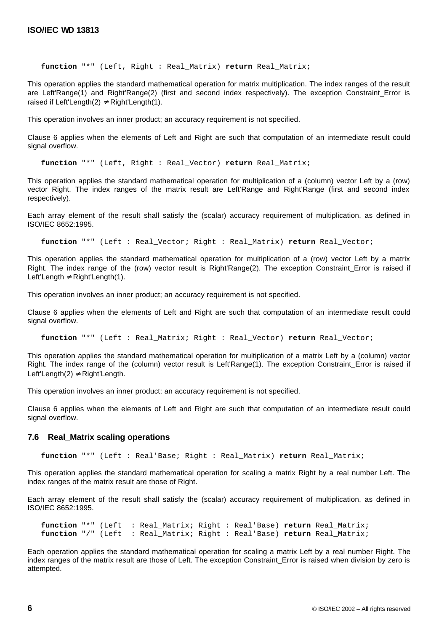**function** "\*" (Left, Right : Real\_Matrix) **return** Real\_Matrix;

This operation applies the standard mathematical operation for matrix multiplication. The index ranges of the result are Left'Range(1) and Right'Range(2) (first and second index respectively). The exception Constraint\_Error is raised if Left'Length(2)  $\neq$  Right'Length(1).

This operation involves an inner product; an accuracy requirement is not specified.

Clause 6 applies when the elements of Left and Right are such that computation of an intermediate result could signal overflow.

**function** "\*" (Left, Right : Real\_Vector) **return** Real\_Matrix;

This operation applies the standard mathematical operation for multiplication of a (column) vector Left by a (row) vector Right. The index ranges of the matrix result are Left'Range and Right'Range (first and second index respectively).

Each array element of the result shall satisfy the (scalar) accuracy requirement of multiplication, as defined in ISO/IEC 8652:1995.

**function** "\*" (Left : Real\_Vector; Right : Real\_Matrix) **return** Real\_Vector;

This operation applies the standard mathematical operation for multiplication of a (row) vector Left by a matrix Right. The index range of the (row) vector result is Right'Range(2). The exception Constraint\_Error is raised if Left'Length  $\neq$  Right'Length(1).

This operation involves an inner product; an accuracy requirement is not specified.

Clause 6 applies when the elements of Left and Right are such that computation of an intermediate result could signal overflow.

**function** "\*" (Left : Real\_Matrix; Right : Real\_Vector) **return** Real\_Vector;

This operation applies the standard mathematical operation for multiplication of a matrix Left by a (column) vector Right. The index range of the (column) vector result is Left'Range(1). The exception Constraint\_Error is raised if Left'Length(2)  $\neq$  Right'Length.

This operation involves an inner product; an accuracy requirement is not specified.

Clause 6 applies when the elements of Left and Right are such that computation of an intermediate result could signal overflow.

#### **7.6 Real\_Matrix scaling operations**

**function** "\*" (Left : Real'Base; Right : Real\_Matrix) **return** Real\_Matrix;

This operation applies the standard mathematical operation for scaling a matrix Right by a real number Left. The index ranges of the matrix result are those of Right.

Each array element of the result shall satisfy the (scalar) accuracy requirement of multiplication, as defined in ISO/IEC 8652:1995.

**function** "\*" (Left : Real\_Matrix; Right : Real'Base) **return** Real\_Matrix; **function** "/" (Left : Real\_Matrix; Right : Real'Base) **return** Real\_Matrix;

Each operation applies the standard mathematical operation for scaling a matrix Left by a real number Right. The index ranges of the matrix result are those of Left. The exception Constraint Error is raised when division by zero is attempted.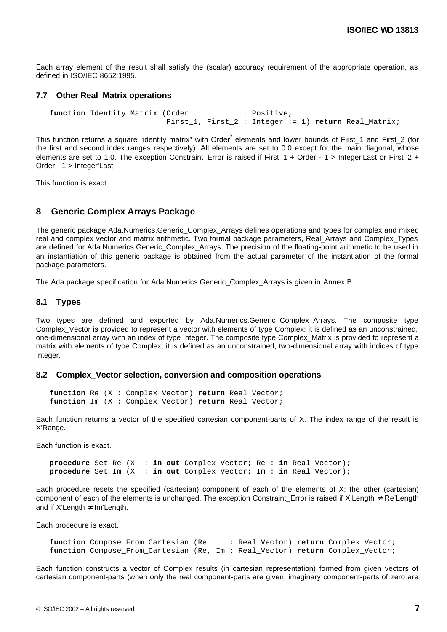Each array element of the result shall satisfy the (scalar) accuracy requirement of the appropriate operation, as defined in ISO/IEC 8652:1995.

#### **7.7 Other Real\_Matrix operations**

**function** Identity Matrix (Order : Positive; First 1, First 2 : Integer := 1) **return** Real Matrix;

This function returns a square "identity matrix" with Order<sup>2</sup> elements and lower bounds of First\_1 and First\_2 (for the first and second index ranges respectively). All elements are set to 0.0 except for the main diagonal, whose elements are set to 1.0. The exception Constraint Error is raised if First 1 + Order - 1 > Integer'Last or First 2 + Order - 1 > Integer'Last.

This function is exact.

### **8 Generic Complex Arrays Package**

The generic package Ada.Numerics.Generic\_Complex\_Arrays defines operations and types for complex and mixed real and complex vector and matrix arithmetic. Two formal package parameters, Real\_Arrays and Complex\_Types are defined for Ada.Numerics.Generic\_Complex\_Arrays. The precision of the floating-point arithmetic to be used in an instantiation of this generic package is obtained from the actual parameter of the instantiation of the formal package parameters.

The Ada package specification for Ada.Numerics.Generic\_Complex\_Arrays is given in Annex B.

#### **8.1 Types**

Two types are defined and exported by Ada.Numerics.Generic\_Complex\_Arrays. The composite type Complex Vector is provided to represent a vector with elements of type Complex; it is defined as an unconstrained, one-dimensional array with an index of type Integer. The composite type Complex\_Matrix is provided to represent a matrix with elements of type Complex; it is defined as an unconstrained, two-dimensional array with indices of type Integer.

#### **8.2 Complex\_Vector selection, conversion and composition operations**

```
function Re (X : Complex_Vector) return Real_Vector;
function Im (X : Complex_Vector) return Real_Vector;
```
Each function returns a vector of the specified cartesian component-parts of X. The index range of the result is X'Range.

Each function is exact.

**procedure** Set\_Re (X : **in out** Complex\_Vector; Re : **in** Real\_Vector); **procedure** Set\_Im (X : **in out** Complex\_Vector; Im : **in** Real\_Vector);

Each procedure resets the specified (cartesian) component of each of the elements of X; the other (cartesian) component of each of the elements is unchanged. The exception Constraint Error is raised if X'Length  $\neq$  Re'Length and if  $X'$ Length  $\neq$  Im'Length.

Each procedure is exact.

```
function Compose_From_Cartesian (Re : Real_Vector) return Complex_Vector;
function Compose_From_Cartesian (Re, Im : Real_Vector) return Complex_Vector;
```
Each function constructs a vector of Complex results (in cartesian representation) formed from given vectors of cartesian component-parts (when only the real component-parts are given, imaginary component-parts of zero are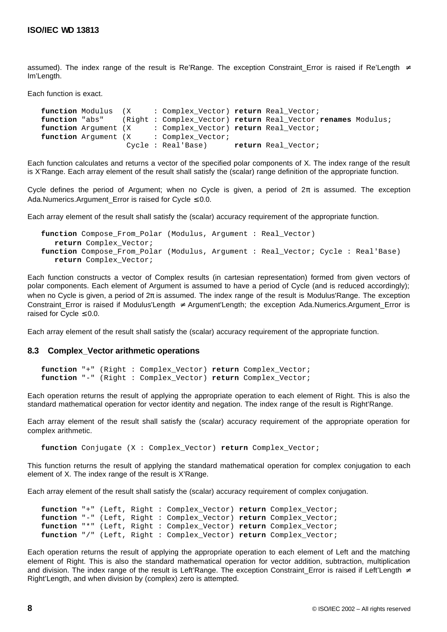assumed). The index range of the result is Re'Range. The exception Constraint\_Error is raised if Re'Length ≠ Im'Length.

Each function is exact.

**function** Modulus (X : Complex\_Vector) **return** Real\_Vector; **function** "abs" (Right : Complex\_Vector) **return** Real\_Vector **renames** Modulus; **function** Argument (X : Complex Vector) **return** Real Vector; **function** Argument (X : Complex Vector; Cycle : Real'Base) **return** Real\_Vector;

Each function calculates and returns a vector of the specified polar components of X. The index range of the result is X'Range. Each array element of the result shall satisfy the (scalar) range definition of the appropriate function.

Cycle defines the period of Argument; when no Cycle is given, a period of  $2\pi$  is assumed. The exception Ada.Numerics.Argument\_Error is raised for Cycle  $\leq 0.0$ .

Each array element of the result shall satisfy the (scalar) accuracy requirement of the appropriate function.

```
function Compose_From_Polar (Modulus, Argument : Real_Vector)
   return Complex_Vector;
function Compose_From_Polar (Modulus, Argument : Real_Vector; Cycle : Real'Base)
   return Complex_Vector;
```
Each function constructs a vector of Complex results (in cartesian representation) formed from given vectors of polar components. Each element of Argument is assumed to have a period of Cycle (and is reduced accordingly); when no Cycle is given, a period of 2π is assumed. The index range of the result is Modulus'Range. The exception Constraint\_Error is raised if Modulus'Length ≠ Argument'Length; the exception Ada.Numerics.Argument\_Error is raised for Cycle  $\leq 0.0$ .

Each array element of the result shall satisfy the (scalar) accuracy requirement of the appropriate function.

#### **8.3 Complex\_Vector arithmetic operations**

```
function "+" (Right : Complex_Vector) return Complex_Vector;
function "-" (Right : Complex_Vector) return Complex_Vector;
```
Each operation returns the result of applying the appropriate operation to each element of Right. This is also the standard mathematical operation for vector identity and negation. The index range of the result is Right'Range.

Each array element of the result shall satisfy the (scalar) accuracy requirement of the appropriate operation for complex arithmetic.

**function** Conjugate (X : Complex\_Vector) **return** Complex\_Vector;

This function returns the result of applying the standard mathematical operation for complex conjugation to each element of X. The index range of the result is X'Range.

Each array element of the result shall satisfy the (scalar) accuracy requirement of complex conjugation.

```
function "+" (Left, Right : Complex_Vector) return Complex_Vector;
function "-" (Left, Right : Complex_Vector) return Complex_Vector;
function "*" (Left, Right : Complex_Vector) return Complex_Vector;
function "/" (Left, Right : Complex_Vector) return Complex_Vector;
```
Each operation returns the result of applying the appropriate operation to each element of Left and the matching element of Right. This is also the standard mathematical operation for vector addition, subtraction, multiplication and division. The index range of the result is Left'Range. The exception Constraint\_Error is raised if Left'Length ≠ Right'Length, and when division by (complex) zero is attempted.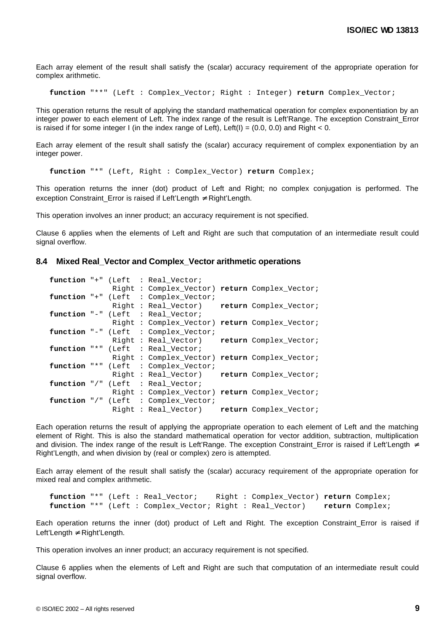Each array element of the result shall satisfy the (scalar) accuracy requirement of the appropriate operation for complex arithmetic.

**function** "\*\*" (Left : Complex\_Vector; Right : Integer) **return** Complex\_Vector;

This operation returns the result of applying the standard mathematical operation for complex exponentiation by an integer power to each element of Left. The index range of the result is Left'Range. The exception Constraint\_Error is raised if for some integer I (in the index range of Left), Left(I) =  $(0.0, 0.0)$  and Right < 0.

Each array element of the result shall satisfy the (scalar) accuracy requirement of complex exponentiation by an integer power.

**function** "\*" (Left, Right : Complex\_Vector) **return** Complex;

This operation returns the inner (dot) product of Left and Right; no complex conjugation is performed. The exception Constraint Error is raised if Left'Length  $\neq$  Right'Length.

This operation involves an inner product; an accuracy requirement is not specified.

Clause 6 applies when the elements of Left and Right are such that computation of an intermediate result could signal overflow.

#### **8.4 Mixed Real\_Vector and Complex\_Vector arithmetic operations**

|  |  | function "+" (Left : Real_Vector;              |                        |
|--|--|------------------------------------------------|------------------------|
|  |  | Right : Complex Vector) return Complex Vector; |                        |
|  |  | function "+" (Left : Complex_Vector;           |                        |
|  |  | Right : Real Vector)                           | return Complex Vector; |
|  |  | function "-" (Left : Real_Vector;              |                        |
|  |  | Right : Complex Vector) return Complex Vector; |                        |
|  |  | function "-" (Left : Complex_Vector;           |                        |
|  |  | Right : Real Vector)                           | return Complex_Vector; |
|  |  | function "*" (Left : Real_Vector;              |                        |
|  |  | Right: Complex Vector) return Complex Vector;  |                        |
|  |  | function "*" (Left : Complex_Vector;           |                        |
|  |  | Right : Real_Vector)                           | return Complex Vector; |
|  |  | function "/" (Left : Real_Vector;              |                        |
|  |  | Right : Complex Vector) return Complex Vector; |                        |
|  |  | function "/" (Left : Complex Vector;           |                        |
|  |  | Right : Real Vector)                           | return Complex_Vector; |

Each operation returns the result of applying the appropriate operation to each element of Left and the matching element of Right. This is also the standard mathematical operation for vector addition, subtraction, multiplication and division. The index range of the result is Left'Range. The exception Constraint Error is raised if Left'Length ≠ Right'Length, and when division by (real or complex) zero is attempted.

Each array element of the result shall satisfy the (scalar) accuracy requirement of the appropriate operation for mixed real and complex arithmetic.

**function** "\*" (Left : Real\_Vector; Right : Complex\_Vector) **return** Complex; **function** "\*" (Left : Complex\_Vector; Right : Real\_Vector) **return** Complex;

Each operation returns the inner (dot) product of Left and Right. The exception Constraint\_Error is raised if Left'Length ≠ Right'Length.

This operation involves an inner product; an accuracy requirement is not specified.

Clause 6 applies when the elements of Left and Right are such that computation of an intermediate result could signal overflow.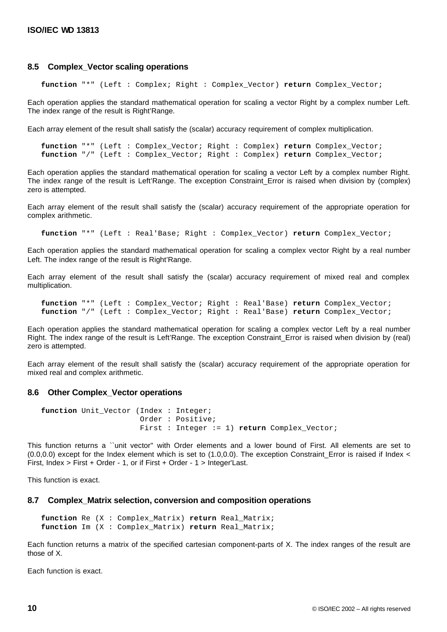#### **8.5 Complex\_Vector scaling operations**

**function** "\*" (Left : Complex; Right : Complex\_Vector) **return** Complex\_Vector;

Each operation applies the standard mathematical operation for scaling a vector Right by a complex number Left. The index range of the result is Right'Range.

Each array element of the result shall satisfy the (scalar) accuracy requirement of complex multiplication.

**function** "\*" (Left : Complex\_Vector; Right : Complex) **return** Complex\_Vector; **function** "/" (Left : Complex\_Vector; Right : Complex) **return** Complex\_Vector;

Each operation applies the standard mathematical operation for scaling a vector Left by a complex number Right. The index range of the result is Left'Range. The exception Constraint\_Error is raised when division by (complex) zero is attempted.

Each array element of the result shall satisfy the (scalar) accuracy requirement of the appropriate operation for complex arithmetic.

**function** "\*" (Left : Real'Base; Right : Complex\_Vector) **return** Complex\_Vector;

Each operation applies the standard mathematical operation for scaling a complex vector Right by a real number Left. The index range of the result is Right'Range.

Each array element of the result shall satisfy the (scalar) accuracy requirement of mixed real and complex multiplication.

**function** "\*" (Left : Complex\_Vector; Right : Real'Base) **return** Complex\_Vector; **function** "/" (Left : Complex\_Vector; Right : Real'Base) **return** Complex\_Vector;

Each operation applies the standard mathematical operation for scaling a complex vector Left by a real number Right. The index range of the result is Left'Range. The exception Constraint\_Error is raised when division by (real) zero is attempted.

Each array element of the result shall satisfy the (scalar) accuracy requirement of the appropriate operation for mixed real and complex arithmetic.

#### **8.6 Other Complex\_Vector operations**

```
function Unit_Vector (Index : Integer;
                      Order : Positive;
                       First : Integer := 1) return Complex_Vector;
```
This function returns a ``unit vector'' with Order elements and a lower bound of First. All elements are set to (0.0,0.0) except for the Index element which is set to (1.0,0.0). The exception Constraint\_Error is raised if Index < First, Index > First + Order - 1, or if First + Order - 1 > Integer'Last.

This function is exact.

#### **8.7 Complex\_Matrix selection, conversion and composition operations**

```
function Re (X : Complex_Matrix) return Real_Matrix;
function Im (X : Complex_Matrix) return Real_Matrix;
```
Each function returns a matrix of the specified cartesian component-parts of X. The index ranges of the result are those of X.

Each function is exact.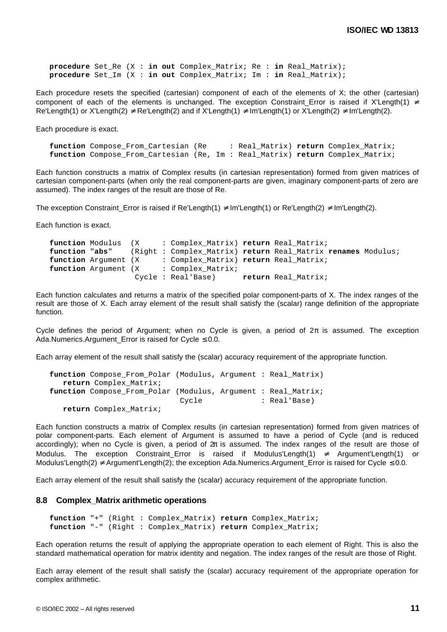**procedure** Set\_Re (X : **in out** Complex\_Matrix; Re : **in** Real\_Matrix); **procedure** Set\_Im (X : **in out** Complex\_Matrix; Im : **in** Real\_Matrix);

Each procedure resets the specified (cartesian) component of each of the elements of X; the other (cartesian) component of each of the elements is unchanged. The exception Constraint\_Error is raised if X'Length(1) ≠ Re'Length(1) or X'Length(2)  $\neq$  Re'Length(2) and if X'Length(1)  $\neq$  Im'Length(1) or X'Length(2)  $\neq$  Im'Length(2).

Each procedure is exact.

**function** Compose\_From\_Cartesian (Re : Real\_Matrix) **return** Complex\_Matrix; **function** Compose\_From\_Cartesian (Re, Im : Real\_Matrix) **return** Complex\_Matrix;

Each function constructs a matrix of Complex results (in cartesian representation) formed from given matrices of cartesian component-parts (when only the real component-parts are given, imaginary component-parts of zero are assumed). The index ranges of the result are those of Re.

The exception Constraint\_Error is raised if Re'Length(1)  $\neq$  Im'Length(1) or Re'Length(2)  $\neq$  Im'Length(2).

Each function is exact.

```
function Modulus (X : Complex_Matrix) return Real_Matrix;<br>function "abs" (Right : Complex Matrix) return Real Matrix
                     function "abs" (Right : Complex_Matrix) return Real_Matrix renames Modulus;
function Argument (X : Complex_Matrix) return Real_Matrix;
function Argument (X : Complex Matrix;
                       Cycle : Real'Base) return Real_Matrix;
```
Each function calculates and returns a matrix of the specified polar component-parts of X. The index ranges of the result are those of X. Each array element of the result shall satisfy the (scalar) range definition of the appropriate function.

Cycle defines the period of Argument; when no Cycle is given, a period of  $2\pi$  is assumed. The exception Ada.Numerics.Argument Error is raised for Cycle  $\leq 0.0$ .

Each array element of the result shall satisfy the (scalar) accuracy requirement of the appropriate function.

```
function Compose_From_Polar (Modulus, Argument : Real_Matrix)
   return Complex_Matrix;
function Compose_From_Polar (Modulus, Argument : Real_Matrix;
                            Cycle : Real'Base)
   return Complex_Matrix;
```
Each function constructs a matrix of Complex results (in cartesian representation) formed from given matrices of polar component-parts. Each element of Argument is assumed to have a period of Cycle (and is reduced accordingly); when no Cycle is given, a period of 2π is assumed. The index ranges of the result are those of Modulus. The exception Constraint\_Error is raised if Modulus'Length(1) ≠ Argument'Length(1) or Modulus'Length(2) ≠ Argument'Length(2); the exception Ada.Numerics.Argument\_Error is raised for Cycle ≤ 0.0.

Each array element of the result shall satisfy the (scalar) accuracy requirement of the appropriate function.

#### **8.8 Complex\_Matrix arithmetic operations**

```
function "+" (Right : Complex_Matrix) return Complex_Matrix;
function "-" (Right : Complex_Matrix) return Complex_Matrix;
```
Each operation returns the result of applying the appropriate operation to each element of Right. This is also the standard mathematical operation for matrix identity and negation. The index ranges of the result are those of Right.

Each array element of the result shall satisfy the (scalar) accuracy requirement of the appropriate operation for complex arithmetic.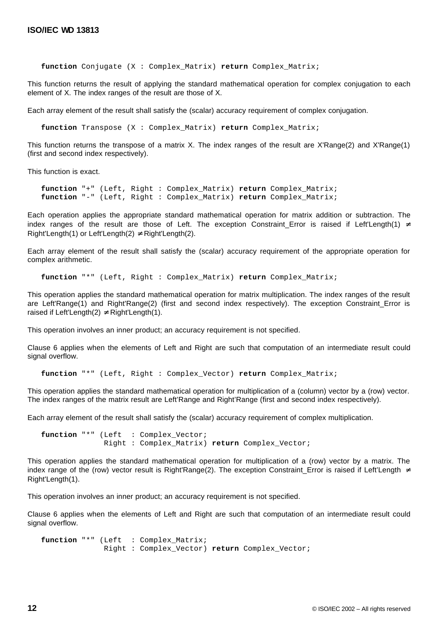**function** Conjugate (X : Complex\_Matrix) **return** Complex\_Matrix;

This function returns the result of applying the standard mathematical operation for complex conjugation to each element of X. The index ranges of the result are those of X.

Each array element of the result shall satisfy the (scalar) accuracy requirement of complex conjugation.

**function** Transpose (X : Complex\_Matrix) **return** Complex\_Matrix;

This function returns the transpose of a matrix X. The index ranges of the result are X'Range(2) and X'Range(1) (first and second index respectively).

This function is exact.

**function** "+" (Left, Right : Complex\_Matrix) **return** Complex\_Matrix; **function** "-" (Left, Right : Complex\_Matrix) **return** Complex\_Matrix;

Each operation applies the appropriate standard mathematical operation for matrix addition or subtraction. The index ranges of the result are those of Left. The exception Constraint\_Error is raised if Left'Length(1)  $\neq$ Right'Length(1) or Left'Length(2)  $\neq$  Right'Length(2).

Each array element of the result shall satisfy the (scalar) accuracy requirement of the appropriate operation for complex arithmetic.

**function** "\*" (Left, Right : Complex\_Matrix) **return** Complex\_Matrix;

This operation applies the standard mathematical operation for matrix multiplication. The index ranges of the result are Left'Range(1) and Right'Range(2) (first and second index respectively). The exception Constraint\_Error is raised if Left'Length(2)  $\neq$  Right'Length(1).

This operation involves an inner product; an accuracy requirement is not specified.

Clause 6 applies when the elements of Left and Right are such that computation of an intermediate result could signal overflow.

**function** "\*" (Left, Right : Complex\_Vector) **return** Complex\_Matrix;

This operation applies the standard mathematical operation for multiplication of a (column) vector by a (row) vector. The index ranges of the matrix result are Left'Range and Right'Range (first and second index respectively).

Each array element of the result shall satisfy the (scalar) accuracy requirement of complex multiplication.

function "\*" (Left : Complex\_Vector; Right : Complex\_Matrix) **return** Complex\_Vector;

This operation applies the standard mathematical operation for multiplication of a (row) vector by a matrix. The index range of the (row) vector result is Right'Range(2). The exception Constraint\_Error is raised if Left'Length ≠ Right'Length(1).

This operation involves an inner product; an accuracy requirement is not specified.

Clause 6 applies when the elements of Left and Right are such that computation of an intermediate result could signal overflow.

```
function "*" (Left : Complex_Matrix;
              Right : Complex_Vector) return Complex_Vector;
```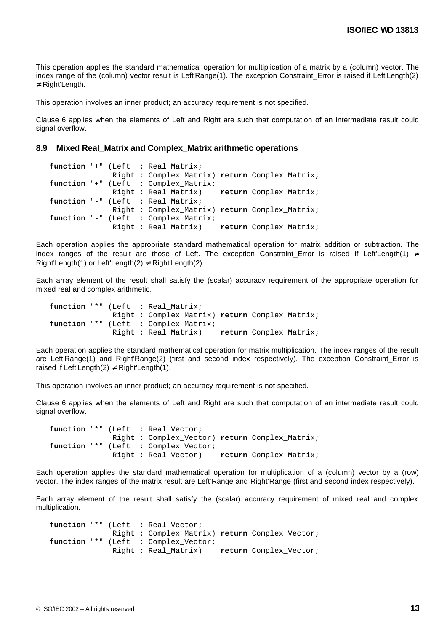This operation applies the standard mathematical operation for multiplication of a matrix by a (column) vector. The index range of the (column) vector result is Left'Range(1). The exception Constraint Error is raised if Left'Length(2) ≠ Right'Length.

This operation involves an inner product; an accuracy requirement is not specified.

Clause 6 applies when the elements of Left and Right are such that computation of an intermediate result could signal overflow.

#### **8.9 Mixed Real\_Matrix and Complex\_Matrix arithmetic operations**

```
function "+" (Left : Real Matrix;
              Right : Complex_Matrix) return Complex_Matrix;
function "+" (Left : Complex_Matrix;
              Right : Real_Matrix) return Complex_Matrix;
function "-" (Left : Real_Matrix;
              Right : Complex_Matrix) return Complex_Matrix;
function "-" (Left : Complex_Matrix;
              Right : Real_Matrix) return Complex_Matrix;
```
Each operation applies the appropriate standard mathematical operation for matrix addition or subtraction. The index ranges of the result are those of Left. The exception Constraint\_Error is raised if Left'Length(1) ≠ Right'Length(1) or Left'Length(2)  $\neq$  Right'Length(2).

Each array element of the result shall satisfy the (scalar) accuracy requirement of the appropriate operation for mixed real and complex arithmetic.

|  |  | function "*" (Left : Real Matrix;              |                        |
|--|--|------------------------------------------------|------------------------|
|  |  | Right : Complex Matrix) return Complex Matrix; |                        |
|  |  | function "*" (Left : Complex Matrix;           |                        |
|  |  | Right : Real Matrix)                           | return Complex Matrix; |

Each operation applies the standard mathematical operation for matrix multiplication. The index ranges of the result are Left'Range(1) and Right'Range(2) (first and second index respectively). The exception Constraint\_Error is raised if Left'Length(2)  $\neq$  Right'Length(1).

This operation involves an inner product; an accuracy requirement is not specified.

Clause 6 applies when the elements of Left and Right are such that computation of an intermediate result could signal overflow.

```
function "*" (Left : Real_Vector;
              Right : Complex_Vector) return Complex_Matrix;
function "*" (Left : Complex_Vector;
              Right : Real_Vector) return Complex_Matrix;
```
Each operation applies the standard mathematical operation for multiplication of a (column) vector by a (row) vector. The index ranges of the matrix result are Left'Range and Right'Range (first and second index respectively).

Each array element of the result shall satisfy the (scalar) accuracy requirement of mixed real and complex multiplication.

function "\*" (Left : Real Vector; Right : Complex\_Matrix) **return** Complex\_Vector; **function** "\*" (Left : Complex\_Vector; Right : Real\_Matrix) **return** Complex\_Vector;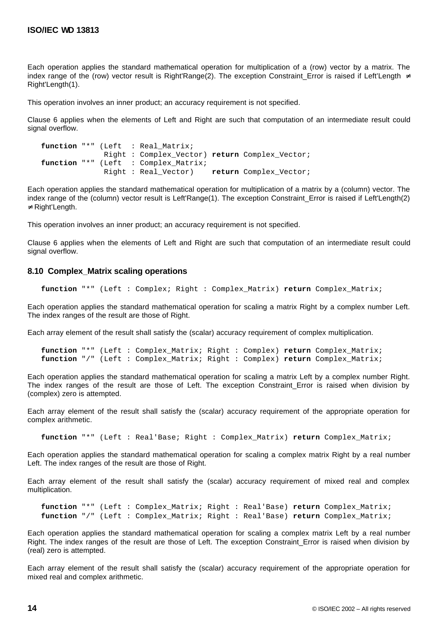Each operation applies the standard mathematical operation for multiplication of a (row) vector by a matrix. The index range of the (row) vector result is Right'Range(2). The exception Constraint Error is raised if Left'Length  $\neq$ Right'Length(1).

This operation involves an inner product; an accuracy requirement is not specified.

Clause 6 applies when the elements of Left and Right are such that computation of an intermediate result could signal overflow.

```
function "*" (Left : Real_Matrix;
              Right : Complex_Vector) return Complex_Vector;
function "*" (Left : Complex_Matrix;
              Right : Real_Vector) return Complex_Vector;
```
Each operation applies the standard mathematical operation for multiplication of a matrix by a (column) vector. The index range of the (column) vector result is Left'Range(1). The exception Constraint\_Error is raised if Left'Length(2) ≠ Right'Length.

This operation involves an inner product; an accuracy requirement is not specified.

Clause 6 applies when the elements of Left and Right are such that computation of an intermediate result could signal overflow.

#### **8.10 Complex\_Matrix scaling operations**

**function** "\*" (Left : Complex; Right : Complex\_Matrix) **return** Complex\_Matrix;

Each operation applies the standard mathematical operation for scaling a matrix Right by a complex number Left. The index ranges of the result are those of Right.

Each array element of the result shall satisfy the (scalar) accuracy requirement of complex multiplication.

```
function "*" (Left : Complex_Matrix; Right : Complex) return Complex_Matrix;
function "/" (Left : Complex_Matrix; Right : Complex) return Complex_Matrix;
```
Each operation applies the standard mathematical operation for scaling a matrix Left by a complex number Right. The index ranges of the result are those of Left. The exception Constraint Error is raised when division by (complex) zero is attempted.

Each array element of the result shall satisfy the (scalar) accuracy requirement of the appropriate operation for complex arithmetic.

**function** "\*" (Left : Real'Base; Right : Complex\_Matrix) **return** Complex\_Matrix;

Each operation applies the standard mathematical operation for scaling a complex matrix Right by a real number Left. The index ranges of the result are those of Right.

Each array element of the result shall satisfy the (scalar) accuracy requirement of mixed real and complex multiplication.

**function** "\*" (Left : Complex\_Matrix; Right : Real'Base) **return** Complex\_Matrix; **function** "/" (Left : Complex\_Matrix; Right : Real'Base) **return** Complex\_Matrix;

Each operation applies the standard mathematical operation for scaling a complex matrix Left by a real number Right. The index ranges of the result are those of Left. The exception Constraint\_Error is raised when division by (real) zero is attempted.

Each array element of the result shall satisfy the (scalar) accuracy requirement of the appropriate operation for mixed real and complex arithmetic.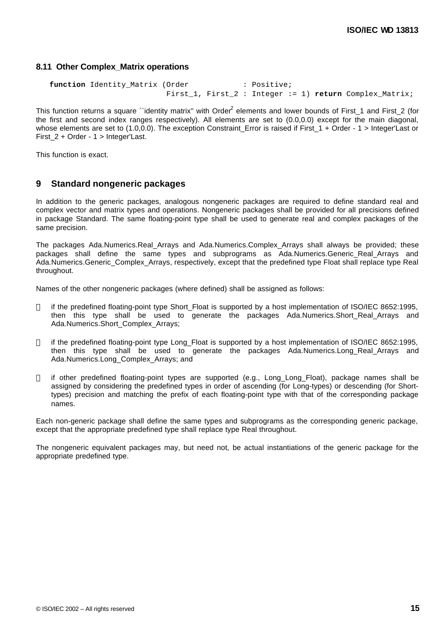#### **8.11 Other Complex\_Matrix operations**

```
function Identity_Matrix (Order : Positive;
                        First_1, First_2 : Integer := 1) return Complex_Matrix;
```
This function returns a square ``identity matrix" with Order<sup>2</sup> elements and lower bounds of First\_1 and First\_2 (for the first and second index ranges respectively). All elements are set to (0.0,0.0) except for the main diagonal, whose elements are set to (1.0,0.0). The exception Constraint Error is raised if First  $1 +$  Order -  $1$  > Integer'Last or First 2 + Order - 1 > Integer'Last.

This function is exact.

### **9 Standard nongeneric packages**

In addition to the generic packages, analogous nongeneric packages are required to define standard real and complex vector and matrix types and operations. Nongeneric packages shall be provided for all precisions defined in package Standard. The same floating-point type shall be used to generate real and complex packages of the same precision.

The packages Ada.Numerics.Real\_Arrays and Ada.Numerics.Complex\_Arrays shall always be provided; these packages shall define the same types and subprograms as Ada.Numerics.Generic Real Arrays and Ada.Numerics.Generic\_Complex\_Arrays, respectively, except that the predefined type Float shall replace type Real throughout.

Names of the other nongeneric packages (where defined) shall be assigned as follows:

- if the predefined floating-point type Short\_Float is supported by a host implementation of ISO/IEC 8652:1995, then this type shall be used to generate the packages Ada.Numerics.Short\_Real\_Arrays and Ada.Numerics.Short\_Complex\_Arrays;
- if the predefined floating-point type Long\_Float is supported by a host implementation of ISO/IEC 8652:1995, then this type shall be used to generate the packages Ada.Numerics.Long\_Real\_Arrays and Ada.Numerics.Long\_Complex\_Arrays; and
- if other predefined floating-point types are supported (e.g., Long\_Long\_Float), package names shall be assigned by considering the predefined types in order of ascending (for Long-types) or descending (for Shorttypes) precision and matching the prefix of each floating-point type with that of the corresponding package names.

Each non-generic package shall define the same types and subprograms as the corresponding generic package, except that the appropriate predefined type shall replace type Real throughout.

The nongeneric equivalent packages may, but need not, be actual instantiations of the generic package for the appropriate predefined type.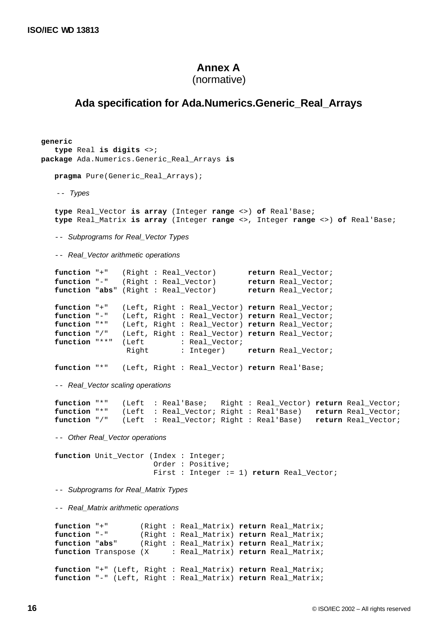## **Annex A**

```
(normative)
```
# **Ada specification for Ada.Numerics.Generic\_Real\_Arrays**

```
generic
    type Real is digits <>;
package Ada.Numerics.Generic_Real_Arrays is
    pragma Pure(Generic_Real_Arrays);
    -- Types
    type Real_Vector is array (Integer range <>) of Real'Base;
    type Real_Matrix is array (Integer range <>, Integer range <>) of Real'Base;
    -- Subprograms for Real_Vector Types
    -- Real_Vector arithmetic operations
   function "+" (Right : Real_Vector) return Real_Vector;<br>function "-" (Right : Real_Vector) return Real Vector;
                  Right : Real_Vector) return Real_Vector;<br>(Right : Real_Vector) return Real_Vector;
   function "abs" (Right : Real_Vector)
    function "+" (Left, Right : Real_Vector) return Real_Vector;
    function "-" (Left, Right : Real_Vector) return Real_Vector;
                  (Left, Right : Real_Vector) return Real_Vector;
    function "/" (Left, Right : Real_Vector) return Real_Vector;
   function "**" (Left : Real_Vector;
                    Right : Integer) return Real_Vector;
    function "*" (Left, Right : Real_Vector) return Real'Base;
    -- Real_Vector scaling operations
    function "*" (Left : Real'Base; Right : Real_Vector) return Real_Vector;
                   (Left : Real_Vector; Right : Real'Base) return Real_Vector;
    function "/" (Left : Real_Vector; Right : Real'Base) return Real_Vector;
    -- Other Real_Vector operations
    function Unit_Vector (Index : Integer;
                           Order : Positive;
                           First : Integer := 1) return Real_Vector;
    -- Subprograms for Real_Matrix Types
    -- Real_Matrix arithmetic operations
    function "+" (Right : Real_Matrix) return Real_Matrix;
 function "-" (Right : Real_Matrix) return Real_Matrix;
 function "abs" (Right : Real_Matrix) return Real_Matrix;
    function Transpose (X : Real_Matrix) return Real_Matrix;
    function "+" (Left, Right : Real_Matrix) return Real_Matrix;
    function "-" (Left, Right : Real_Matrix) return Real_Matrix;
```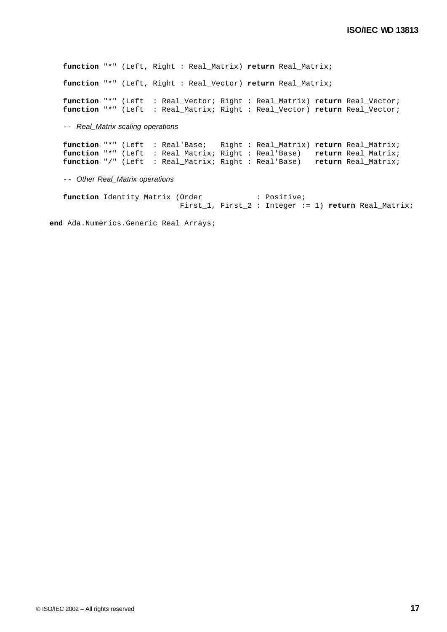**function** "\*" (Left, Right : Real\_Matrix) **return** Real\_Matrix; **function** "\*" (Left, Right : Real\_Vector) **return** Real\_Matrix;

 **function** "\*" (Left : Real\_Vector; Right : Real\_Matrix) **return** Real\_Vector; **function** "\*" (Left : Real\_Matrix; Right : Real\_Vector) **return** Real\_Vector;

-- *Real\_Matrix scaling operations*

 **function** "\*" (Left : Real'Base; Right : Real\_Matrix) **return** Real\_Matrix; **function** "\*" (Left : Real\_Matrix; Right : Real'Base) **return** Real\_Matrix; **function** "/" (Left : Real\_Matrix; Right : Real'Base) **return** Real\_Matrix;

-- *Other Real\_Matrix operations*

**function** Identity\_Matrix (Order : Positive; First\_1, First\_2 : Integer := 1) **return** Real\_Matrix;

**end** Ada.Numerics.Generic\_Real\_Arrays;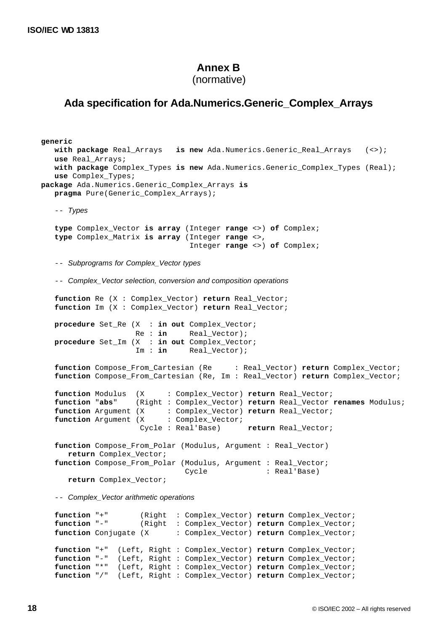# **Annex B**

(normative)

# **Ada specification for Ada.Numerics.Generic\_Complex\_Arrays**

```
generic
    with package Real_Arrays is new Ada.Numerics.Generic_Real_Arrays (<>);
    use Real_Arrays;
    with package Complex_Types is new Ada.Numerics.Generic_Complex_Types (Real);
    use Complex_Types;
package Ada.Numerics.Generic_Complex_Arrays is
    pragma Pure(Generic_Complex_Arrays);
    -- Types
    type Complex_Vector is array (Integer range <>) of Complex;
    type Complex_Matrix is array (Integer range <>,
                                  Integer range <>) of Complex;
    -- Subprograms for Complex_Vector types
    -- Complex_Vector selection, conversion and composition operations
    function Re (X : Complex_Vector) return Real_Vector;
    function Im (X : Complex_Vector) return Real_Vector;
    procedure Set_Re (X : in out Complex_Vector;
                     Re : in Real_Vector);
    procedure Set_Im (X : in out Complex_Vector;
                     Im : in Real_Vector);
    function Compose_From_Cartesian (Re : Real_Vector) return Complex_Vector;
    function Compose_From_Cartesian (Re, Im : Real_Vector) return Complex_Vector;
    function Modulus (X : Complex_Vector) return Real_Vector;
    function "abs" (Right : Complex_Vector) return Real_Vector renames Modulus;
 function Argument (X : Complex_Vector) return Real_Vector;
function Argument (X : Complex_Vector;
                      Cycle : Real'Base) return Real_Vector;
    function Compose_From_Polar (Modulus, Argument : Real_Vector)
      return Complex_Vector;
    function Compose_From_Polar (Modulus, Argument : Real_Vector;
                                Cycle : Real'Base)
       return Complex_Vector;
    -- Complex_Vector arithmetic operations
    function "+" (Right : Complex_Vector) return Complex_Vector;
```
 **function** "-" (Right : Complex\_Vector) **return** Complex\_Vector; **function** Conjugate (X : Complex\_Vector) **return** Complex\_Vector; **function** "+" (Left, Right : Complex\_Vector) **return** Complex\_Vector; **function** "-" (Left, Right : Complex\_Vector) **return** Complex\_Vector; **function** "\*" (Left, Right : Complex\_Vector) **return** Complex\_Vector; **function** "/" (Left, Right : Complex\_Vector) **return** Complex\_Vector;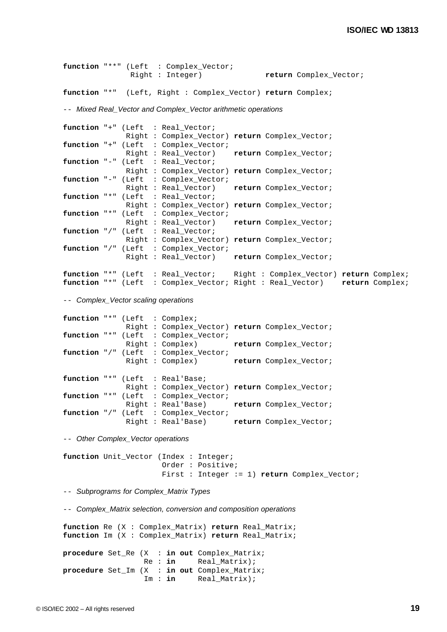```
 function "**" (Left : Complex_Vector;
               Right : Integer) return Complex_Vector;
 function "*" (Left, Right : Complex_Vector) return Complex;
 -- Mixed Real_Vector and Complex_Vector arithmetic operations
 function "+" (Left : Real_Vector;
              Right : Complex_Vector) return Complex_Vector;
 function "+" (Left : Complex_Vector;
              Right : Real_Vector) return Complex_Vector;
function "-" (Left : Real Vector;
              Right : Complex_Vector) return Complex_Vector;
function "-" (Left : Complex Vector;
              Right : Real_Vector) return Complex_Vector;
 function "*" (Left : Real_Vector;
              Right : Complex_Vector) return Complex_Vector;
 function "*" (Left : Complex_Vector;
              Right : Real_Vector) return Complex_Vector;
 function "/" (Left : Real_Vector;
              Right : Complex_Vector) return Complex_Vector;
 function "/" (Left : Complex_Vector;
              Right : Real_Vector) return Complex_Vector;
 function "*" (Left : Real_Vector; Right : Complex_Vector) return Complex;
 function "*" (Left : Complex_Vector; Right : Real_Vector) return Complex;
 -- Complex_Vector scaling operations
```

```
 function "*" (Left : Complex;
              Right : Complex_Vector) return Complex_Vector;
 function "*" (Left : Complex_Vector;
              Right : Complex) return Complex_Vector;
function "/" (Left : Complex_Vector;<br>Right : Complex)
                                      return Complex_Vector;
 function "*" (Left : Real'Base;
              Right : Complex_Vector) return Complex_Vector;
 function "*" (Left : Complex_Vector;
              Right : Real'Base) return Complex_Vector;
 function "/" (Left : Complex_Vector;
               Right : Real'Base) return Complex_Vector;
```
-- *Other Complex\_Vector operations*

```
function Unit Vector (Index : Integer;
                       Order : Positive;
                       First : Integer := 1) return Complex_Vector;
```
-- *Subprograms for Complex\_Matrix Types*

-- *Complex\_Matrix selection, conversion and composition operations*

```
 function Re (X : Complex_Matrix) return Real_Matrix;
 function Im (X : Complex_Matrix) return Real_Matrix;
 procedure Set_Re (X : in out Complex_Matrix;
                  Re : in Real_Matrix);
 procedure Set_Im (X : in out Complex_Matrix;
                  Im : in Real_Matrix);
```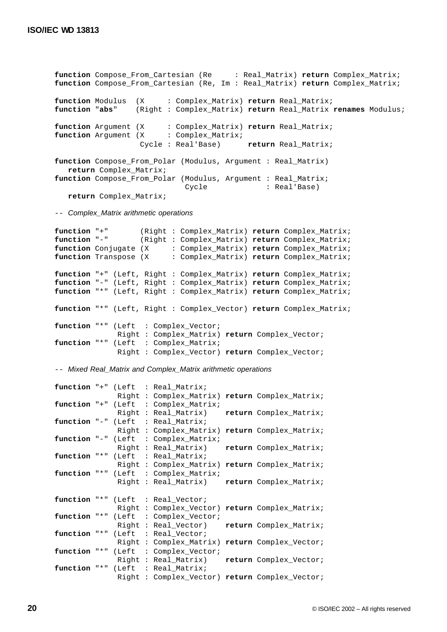**function** Compose\_From\_Cartesian (Re : Real\_Matrix) **return** Complex\_Matrix; **function** Compose\_From\_Cartesian (Re, Im : Real\_Matrix) **return** Complex\_Matrix; **function** Modulus (X : Complex\_Matrix) **return** Real\_Matrix; **function** "**abs**" (Right : Complex\_Matrix) **return** Real\_Matrix **renames** Modulus; **function** Argument (X : Complex\_Matrix) **return** Real\_Matrix; **function** Argument (X : Complex\_Matrix; Cycle : Real'Base) **return** Real\_Matrix; **function** Compose\_From\_Polar (Modulus, Argument : Real\_Matrix)  **return** Complex\_Matrix; function Compose\_From\_Polar (Modulus, Argument : Real\_Matrix; Cycle : Real'Base) **return** Complex\_Matrix;

-- *Complex\_Matrix arithmetic operations*

```
function "+" (Right : Complex_Matrix) return Complex_Matrix;<br>function "-" (Right : Complex Matrix) return Complex Matrix;
                    (Right : Complex_Matrix) return Complex_Matrix;
function Conjugate (X : Complex_Matrix) return Complex_Matrix;
 function Transpose (X : Complex_Matrix) return Complex_Matrix;
 function "+" (Left, Right : Complex_Matrix) return Complex_Matrix;
 function "-" (Left, Right : Complex_Matrix) return Complex_Matrix;
 function "*" (Left, Right : Complex_Matrix) return Complex_Matrix;
 function "*" (Left, Right : Complex_Vector) return Complex_Matrix;
function "*" (Left : Complex Vector;
               Right : Complex_Matrix) return Complex_Vector;
function "*" (Left : Complex Matrix;
                Right : Complex_Vector) return Complex_Vector;
```
-- *Mixed Real\_Matrix and Complex\_Matrix arithmetic operations*

```
 function "+" (Left : Real_Matrix;
               Right : Complex_Matrix) return Complex_Matrix;
 function "+" (Left : Complex_Matrix;
               Right : Real_Matrix) return Complex_Matrix;
 function "-" (Left : Real_Matrix;
               Right : Complex_Matrix) return Complex_Matrix;
function "-" (Left : Complex_Matrix;<br>Right : Real_Matrix)
                                       Right : Real_Matrix) return Complex_Matrix;
function "*" (Left : Real Matrix;
               Right : Complex_Matrix) return Complex_Matrix;
function "*" (Left : Complex Matrix;
               Right : Real_Matrix) return Complex_Matrix;
 function "*" (Left : Real_Vector;
               Right : Complex_Vector) return Complex_Matrix;
 function "*" (Left : Complex_Vector;
               Right : Real_Vector) return Complex_Matrix;
 function "*" (Left : Real_Vector;
               Right : Complex_Matrix) return Complex_Vector;
function "*" (Left : Complex_Vector;<br>Right : Real_Matrix)
                                      return Complex_Vector;
 function "*" (Left : Real_Matrix;
               Right : Complex_Vector) return Complex_Vector;
```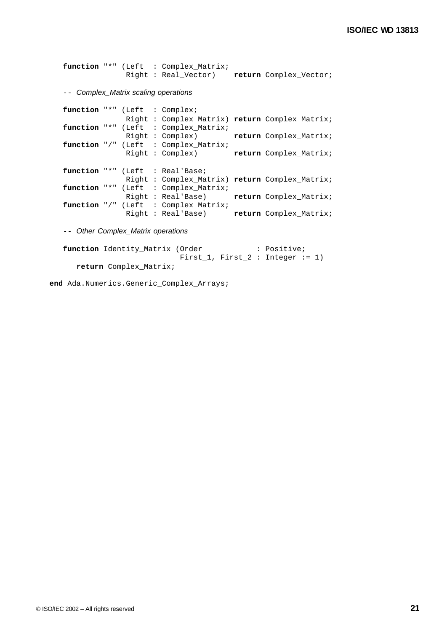```
 function "*" (Left : Complex_Matrix;
              Right : Real_Vector) return Complex_Vector;
```
-- *Complex\_Matrix scaling operations*

```
 function "*" (Left : Complex;
               Right : Complex_Matrix) return Complex_Matrix;
   function "*" (Left : Complex_Matrix;
               Right : Complex) return Complex_Matrix;
   function "/" (Left : Complex_Matrix;
               Right : Complex) return Complex_Matrix;
   function "*" (Left : Real'Base;
               Right : Complex_Matrix) return Complex_Matrix;
   function "*" (Left : Complex_Matrix;
 Right : Real'Base) return Complex_Matrix;
 function "/" (Left : Complex_Matrix;
                Right : Real'Base) return Complex_Matrix;
```
-- *Other Complex\_Matrix operations*

```
function Identity_Matrix (Order : Positive;
                        First_1, First_2 : Integer := 1)
   return Complex_Matrix;
```
**end** Ada.Numerics.Generic\_Complex\_Arrays;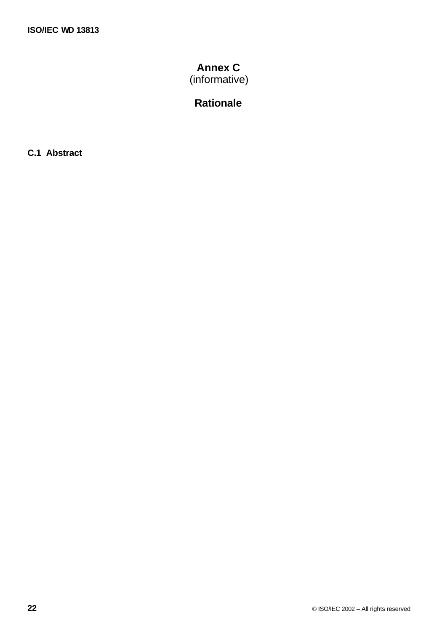# **Annex C** (informative)

# **Rationale**

**C.1 Abstract**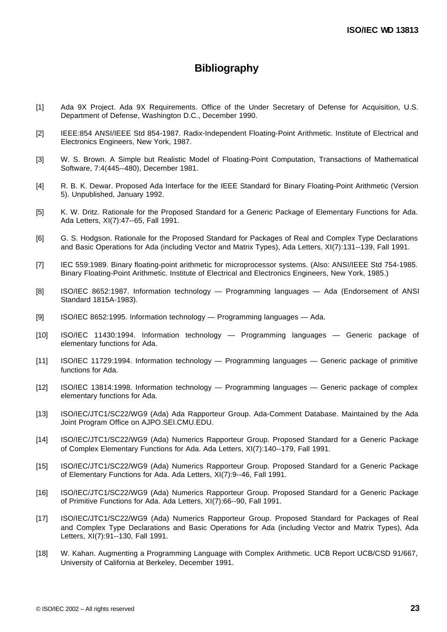# **Bibliography**

- [1] Ada 9X Project. Ada 9X Requirements. Office of the Under Secretary of Defense for Acquisition, U.S. Department of Defense, Washington D.C., December 1990.
- [2] IEEE:854 ANSI/IEEE Std 854-1987. Radix-Independent Floating-Point Arithmetic. Institute of Electrical and Electronics Engineers, New York, 1987.
- [3] W. S. Brown. A Simple but Realistic Model of Floating-Point Computation, Transactions of Mathematical Software, 7:4(445--480), December 1981.
- [4] R. B. K. Dewar. Proposed Ada Interface for the IEEE Standard for Binary Floating-Point Arithmetic (Version 5). Unpublished, January 1992.
- [5] K. W. Dritz. Rationale for the Proposed Standard for a Generic Package of Elementary Functions for Ada. Ada Letters, XI(7):47--65, Fall 1991.
- [6] G. S. Hodgson. Rationale for the Proposed Standard for Packages of Real and Complex Type Declarations and Basic Operations for Ada (including Vector and Matrix Types), Ada Letters, XI(7):131--139, Fall 1991.
- [7] IEC 559:1989. Binary floating-point arithmetic for microprocessor systems. (Also: ANSI/IEEE Std 754-1985. Binary Floating-Point Arithmetic. Institute of Electrical and Electronics Engineers, New York, 1985.)
- [8] ISO/IEC 8652:1987. Information technology Programming languages Ada (Endorsement of ANSI Standard 1815A-1983).
- [9] ISO/IEC 8652:1995. Information technology Programming languages Ada.
- [10] ISO/IEC 11430:1994. Information technology Programming languages Generic package of elementary functions for Ada.
- [11] ISO/IEC 11729:1994. Information technology Programming languages Generic package of primitive functions for Ada.
- [12] ISO/IEC 13814:1998. Information technology Programming languages Generic package of complex elementary functions for Ada.
- [13] ISO/IEC/JTC1/SC22/WG9 (Ada) Ada Rapporteur Group. Ada-Comment Database. Maintained by the Ada Joint Program Office on AJPO.SEI.CMU.EDU.
- [14] ISO/IEC/JTC1/SC22/WG9 (Ada) Numerics Rapporteur Group. Proposed Standard for a Generic Package of Complex Elementary Functions for Ada. Ada Letters, XI(7):140--179, Fall 1991.
- [15] ISO/IEC/JTC1/SC22/WG9 (Ada) Numerics Rapporteur Group. Proposed Standard for a Generic Package of Elementary Functions for Ada. Ada Letters, XI(7):9--46, Fall 1991.
- [16] ISO/IEC/JTC1/SC22/WG9 (Ada) Numerics Rapporteur Group. Proposed Standard for a Generic Package of Primitive Functions for Ada. Ada Letters, XI(7):66--90, Fall 1991.
- [17] ISO/IEC/JTC1/SC22/WG9 (Ada) Numerics Rapporteur Group. Proposed Standard for Packages of Real and Complex Type Declarations and Basic Operations for Ada (including Vector and Matrix Types), Ada Letters, XI(7):91--130, Fall 1991.
- [18] W. Kahan. Augmenting a Programming Language with Complex Arithmetic. UCB Report UCB/CSD 91/667, University of California at Berkeley, December 1991.